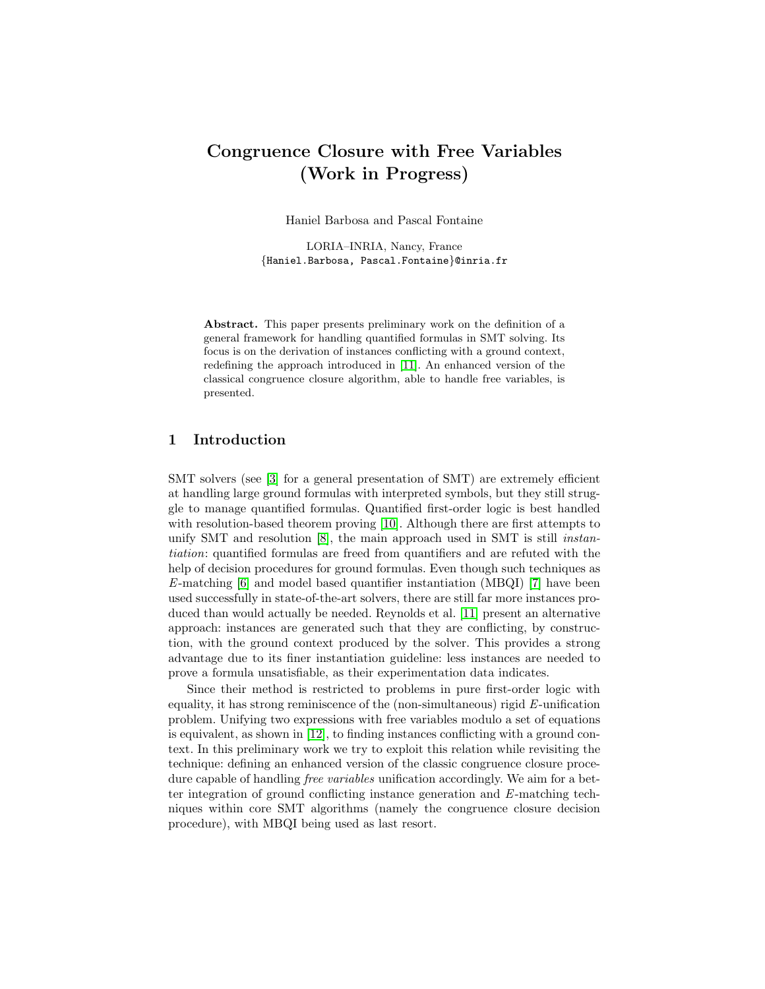# Congruence Closure with Free Variables (Work in Progress)

Haniel Barbosa and Pascal Fontaine

LORIA–INRIA, Nancy, France {Haniel.Barbosa, Pascal.Fontaine}@inria.fr

Abstract. This paper presents preliminary work on the definition of a general framework for handling quantified formulas in SMT solving. Its focus is on the derivation of instances conflicting with a ground context, redefining the approach introduced in [\[11\]](#page-7-0). An enhanced version of the classical congruence closure algorithm, able to handle free variables, is presented.

## 1 Introduction

SMT solvers (see [\[3\]](#page-7-1) for a general presentation of SMT) are extremely efficient at handling large ground formulas with interpreted symbols, but they still struggle to manage quantified formulas. Quantified first-order logic is best handled with resolution-based theorem proving [\[10\]](#page-7-2). Although there are first attempts to unify SMT and resolution [\[8\]](#page-7-3), the main approach used in SMT is still *instan*tiation: quantified formulas are freed from quantifiers and are refuted with the help of decision procedures for ground formulas. Even though such techniques as E-matching [\[6\]](#page-7-4) and model based quantifier instantiation (MBQI) [\[7\]](#page-7-5) have been used successfully in state-of-the-art solvers, there are still far more instances produced than would actually be needed. Reynolds et al. [\[11\]](#page-7-0) present an alternative approach: instances are generated such that they are conflicting, by construction, with the ground context produced by the solver. This provides a strong advantage due to its finer instantiation guideline: less instances are needed to prove a formula unsatisfiable, as their experimentation data indicates.

Since their method is restricted to problems in pure first-order logic with equality, it has strong reminiscence of the (non-simultaneous) rigid E-unification problem. Unifying two expressions with free variables modulo a set of equations is equivalent, as shown in [\[12\]](#page-7-6), to finding instances conflicting with a ground context. In this preliminary work we try to exploit this relation while revisiting the technique: defining an enhanced version of the classic congruence closure procedure capable of handling free variables unification accordingly. We aim for a better integration of ground conflicting instance generation and E-matching techniques within core SMT algorithms (namely the congruence closure decision procedure), with MBQI being used as last resort.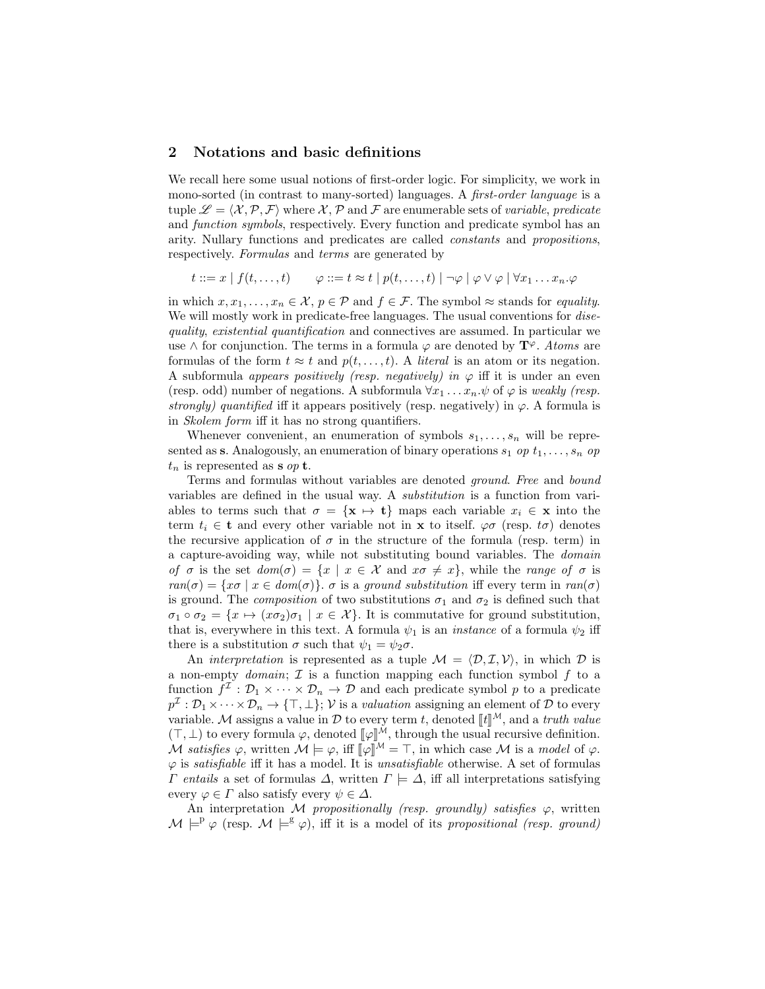## 2 Notations and basic definitions

We recall here some usual notions of first-order logic. For simplicity, we work in mono-sorted (in contrast to many-sorted) languages. A first-order language is a tuple  $\mathscr{L} = \langle \mathcal{X}, \mathcal{P}, \mathcal{F} \rangle$  where X, P and F are enumerable sets of variable, predicate and function symbols, respectively. Every function and predicate symbol has an arity. Nullary functions and predicates are called constants and propositions, respectively. Formulas and terms are generated by

 $t ::= x \mid f(t, \ldots, t) \qquad \varphi ::= t \approx t \mid p(t, \ldots, t) \mid \neg \varphi \mid \varphi \vee \varphi \mid \forall x_1 \ldots x_n \ldots \varphi$ 

in which  $x, x_1, \ldots, x_n \in \mathcal{X}, p \in \mathcal{P}$  and  $f \in \mathcal{F}$ . The symbol  $\approx$  stands for *equality*. We will mostly work in predicate-free languages. The usual conventions for *dise*quality, existential quantification and connectives are assumed. In particular we use  $\wedge$  for conjunction. The terms in a formula  $\varphi$  are denoted by  $\mathbf{T}^{\varphi}$ . Atoms are formulas of the form  $t \approx t$  and  $p(t, \ldots, t)$ . A *literal* is an atom or its negation. A subformula appears positively (resp. negatively) in  $\varphi$  iff it is under an even (resp. odd) number of negations. A subformula  $\forall x_1 \dots x_n \psi$  of  $\varphi$  is weakly (resp. strongly) quantified iff it appears positively (resp. negatively) in  $\varphi$ . A formula is in Skolem form iff it has no strong quantifiers.

Whenever convenient, an enumeration of symbols  $s_1, \ldots, s_n$  will be represented as **s**. Analogously, an enumeration of binary operations  $s_1$  op  $t_1, \ldots, s_n$  op  $t_n$  is represented as **s** op **t**.

Terms and formulas without variables are denoted ground. Free and bound variables are defined in the usual way. A substitution is a function from variables to terms such that  $\sigma = {\mathbf{x} \mapsto \mathbf{t}}$  maps each variable  $x_i \in \mathbf{x}$  into the term  $t_i \in \mathbf{t}$  and every other variable not in **x** to itself.  $\varphi \sigma$  (resp. to) denotes the recursive application of  $\sigma$  in the structure of the formula (resp. term) in a capture-avoiding way, while not substituting bound variables. The domain of  $\sigma$  is the set  $dom(\sigma) = \{x \mid x \in \mathcal{X} \text{ and } x\sigma \neq x\}$ , while the range of  $\sigma$  is  $ran(\sigma) = \{x\sigma \mid x \in dom(\sigma)\}\text{. } \sigma \text{ is a ground substitution iff every term in } ran(\sigma)$ is ground. The *composition* of two substitutions  $\sigma_1$  and  $\sigma_2$  is defined such that  $\sigma_1 \circ \sigma_2 = \{x \mapsto (x \sigma_2) \sigma_1 \mid x \in \mathcal{X}\}\.$  It is commutative for ground substitution, that is, everywhere in this text. A formula  $\psi_1$  is an *instance* of a formula  $\psi_2$  iff there is a substitution  $\sigma$  such that  $\psi_1 = \psi_2 \sigma$ .

An *interpretation* is represented as a tuple  $\mathcal{M} = \langle \mathcal{D}, \mathcal{I}, \mathcal{V} \rangle$ , in which  $\mathcal D$  is a non-empty *domain*;  $\mathcal{I}$  is a function mapping each function symbol  $f$  to a function  $f^{\mathcal{I}}: \mathcal{D}_1 \times \cdots \times \mathcal{D}_n \to \mathcal{D}$  and each predicate symbol p to a predicate  $p^{\mathcal{I}}: \mathcal{D}_1 \times \cdots \times \mathcal{D}_n \to \{\top, \bot\};\, \mathcal{V} \text{ is a valuation assigning an element of } \mathcal{D} \text{ to every }$ variable. M assigns a value in  $D$  to every term t, denoted  $[[t]]^M$ , and a truth value  $(\top, \bot)$  to every formula  $\varphi$ , denoted  $[\varphi]^{\tilde{M}}$ , through the usual recursive definition. M satisfies  $\varphi$ , written  $\mathcal{M} \models \varphi$ , iff  $\[\psi\]^{M} = \top$ , in which case M is a model of  $\varphi$ .  $\varphi$  is *satisfiable* iff it has a model. It is *unsatisfiable* otherwise. A set of formulas  $Γ$  entails a set of formulas Δ, written  $Γ$   $\models Δ$ , iff all interpretations satisfying every  $\varphi \in \Gamma$  also satisfy every  $\psi \in \Delta$ .

An interpretation M propositionally (resp. groundly) satisfies  $\varphi$ , written  $\mathcal{M} \models^{\mathbb{P}} \varphi$  (resp.  $\mathcal{M} \models^{\mathbb{S}} \varphi$ ), iff it is a model of its propositional (resp. ground)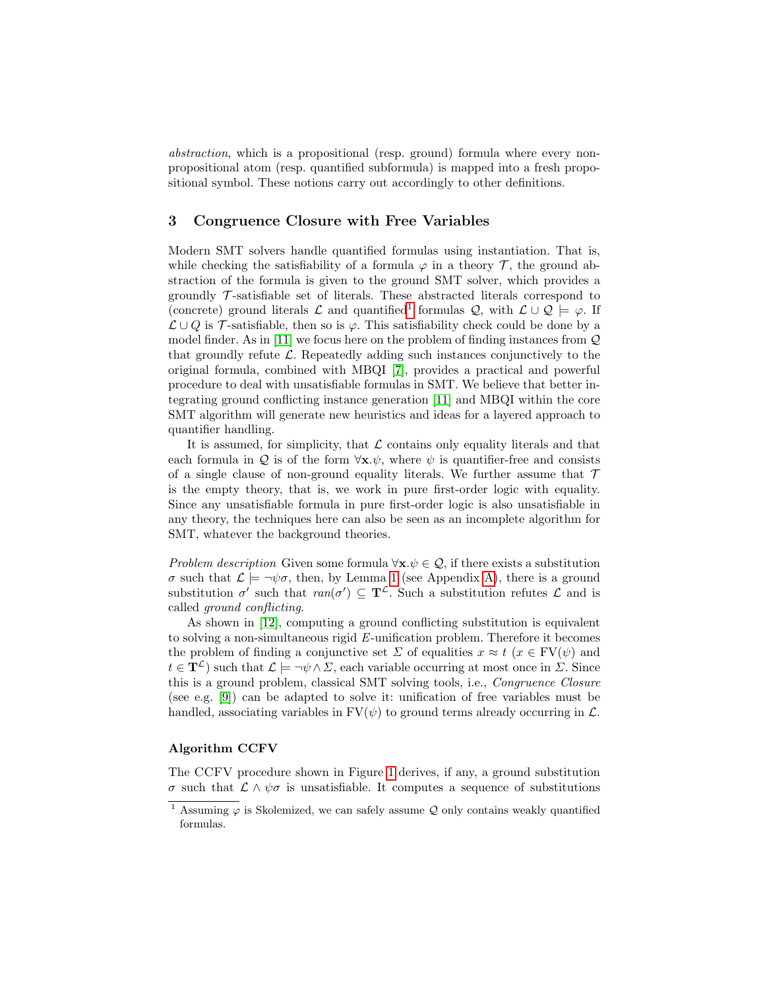abstraction, which is a propositional (resp. ground) formula where every nonpropositional atom (resp. quantified subformula) is mapped into a fresh propositional symbol. These notions carry out accordingly to other definitions.

## 3 Congruence Closure with Free Variables

Modern SMT solvers handle quantified formulas using instantiation. That is, while checking the satisfiability of a formula  $\varphi$  in a theory  $\mathcal{T}$ , the ground abstraction of the formula is given to the ground SMT solver, which provides a groundly  $\mathcal T$ -satisfiable set of literals. These abstracted literals correspond to (concrete) ground literals  $\mathcal L$  and quantified<sup>[1](#page-2-0)</sup> formulas  $\mathcal Q$ , with  $\mathcal L \cup \mathcal Q \models \varphi$ . If  $\mathcal{L} \cup Q$  is  $\mathcal{T}$ -satisfiable, then so is  $\varphi$ . This satisfiability check could be done by a model finder. As in [\[11\]](#page-7-0) we focus here on the problem of finding instances from  $\mathcal Q$ that groundly refute  $\mathcal{L}$ . Repeatedly adding such instances conjunctively to the original formula, combined with MBQI [\[7\]](#page-7-5), provides a practical and powerful procedure to deal with unsatisfiable formulas in SMT. We believe that better integrating ground conflicting instance generation [\[11\]](#page-7-0) and MBQI within the core SMT algorithm will generate new heuristics and ideas for a layered approach to quantifier handling.

It is assumed, for simplicity, that  $\mathcal L$  contains only equality literals and that each formula in Q is of the form  $\forall x.\psi$ , where  $\psi$  is quantifier-free and consists of a single clause of non-ground equality literals. We further assume that  $\mathcal T$ is the empty theory, that is, we work in pure first-order logic with equality. Since any unsatisfiable formula in pure first-order logic is also unsatisfiable in any theory, the techniques here can also be seen as an incomplete algorithm for SMT, whatever the background theories.

Problem description Given some formula  $\forall x.\psi \in \mathcal{Q}$ , if there exists a substitution σ such that  $\mathcal{L} \models \neg \psi \sigma$ , then, by Lemma [1](#page-7-7) (see Appendix [A\)](#page-7-8), there is a ground substitution  $\sigma'$  such that  $ran(\sigma') \subseteq \mathbf{T}^{\mathcal{L}}$ . Such a substitution refutes  $\mathcal{L}$  and is called ground conflicting.

As shown in [\[12\]](#page-7-6), computing a ground conflicting substitution is equivalent to solving a non-simultaneous rigid E-unification problem. Therefore it becomes the problem of finding a conjunctive set  $\Sigma$  of equalities  $x \approx t$  ( $x \in \mathrm{FV}(\psi)$ ) and  $t \in \mathbf{T}^{\mathcal{L}}$ ) such that  $\mathcal{L} \models \neg \psi \wedge \Sigma$ , each variable occurring at most once in  $\Sigma$ . Since this is a ground problem, classical SMT solving tools, i.e., Congruence Closure (see e.g. [\[9\]](#page-7-9)) can be adapted to solve it: unification of free variables must be handled, associating variables in  $FV(\psi)$  to ground terms already occurring in  $\mathcal{L}$ .

#### Algorithm CCFV

The CCFV procedure shown in Figure [1](#page-3-0) derives, if any, a ground substitution σ such that L ∧ ψσ is unsatisfiable. It computes a sequence of substitutions

<span id="page-2-0"></span><sup>&</sup>lt;sup>1</sup> Assuming  $\varphi$  is Skolemized, we can safely assume Q only contains weakly quantified formulas.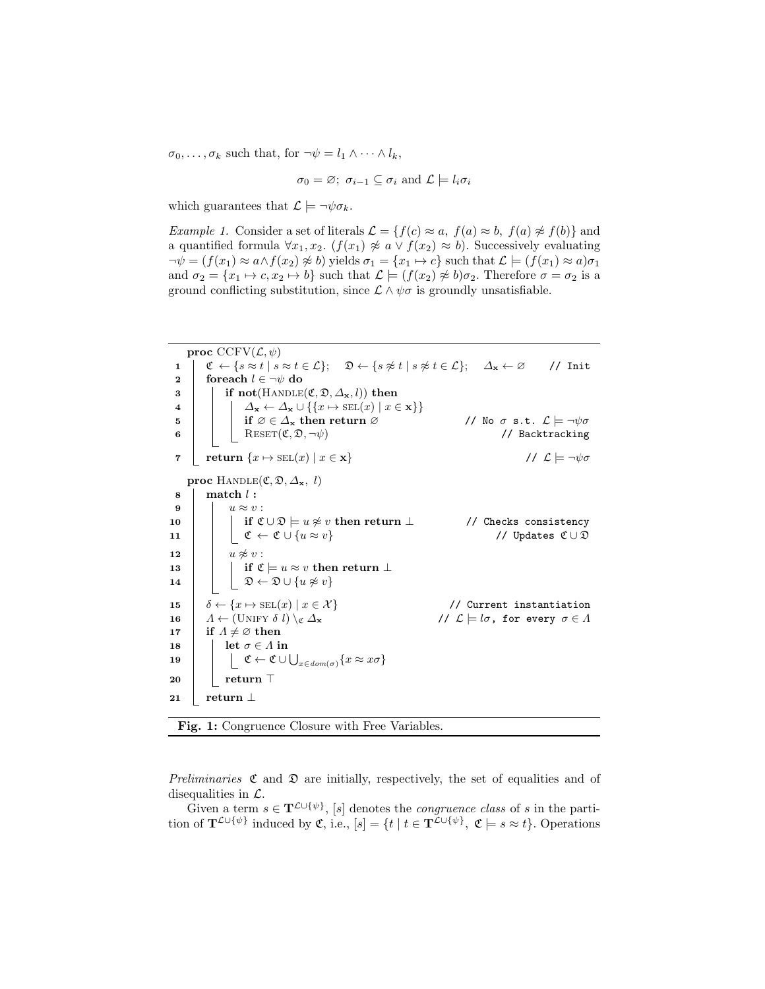$\sigma_0, \ldots, \sigma_k$  such that, for  $\neg \psi = l_1 \wedge \cdots \wedge l_k$ ,

$$
\sigma_0 = \varnothing
$$
;  $\sigma_{i-1} \subseteq \sigma_i$  and  $\mathcal{L} \models l_i \sigma_i$ 

which guarantees that  $\mathcal{L} \models \neg \psi \sigma_k$ .

*Example 1.* Consider a set of literals  $\mathcal{L} = \{f(c) \approx a, f(a) \approx b, f(a) \not\approx f(b)\}\$ and a quantified formula  $\forall x_1, x_2$ .  $(f(x_1) \not\approx a \lor f(x_2) \approx b)$ . Successively evaluating  $\neg \psi = (f(x_1) \approx a \wedge f(x_2) \not\approx b)$  yields  $\sigma_1 = \{x_1 \mapsto c\}$  such that  $\mathcal{L} \models (f(x_1) \approx a)\sigma_1$ and  $\sigma_2 = \{x_1 \mapsto c, x_2 \mapsto b\}$  such that  $\mathcal{L} \models (f(x_2) \not\approx b)\sigma_2$ . Therefore  $\sigma = \sigma_2$  is a ground conflicting substitution, since  $\mathcal{L} \wedge \psi \sigma$  is groundly unsatisfiable.

<span id="page-3-0"></span>

Fig. 1: Congruence Closure with Free Variables.

Preliminaries  $\mathfrak C$  and  $\mathfrak D$  are initially, respectively, the set of equalities and of disequalities in  $\mathcal{L}$ .

Given a term  $s \in \mathbf{T}^{\mathcal{L} \cup \{\psi\}}$ , [s] denotes the *congruence class* of s in the partition of  $\mathbf{T}^{\mathcal{L}\cup\{\psi\}}$  induced by  $\mathfrak{C}$ , i.e.,  $[s] = \{t \mid t \in \mathbf{T}^{\mathcal{L}\cup\{\psi\}}$ ,  $\mathfrak{C} \models s \approx t\}$ . Operations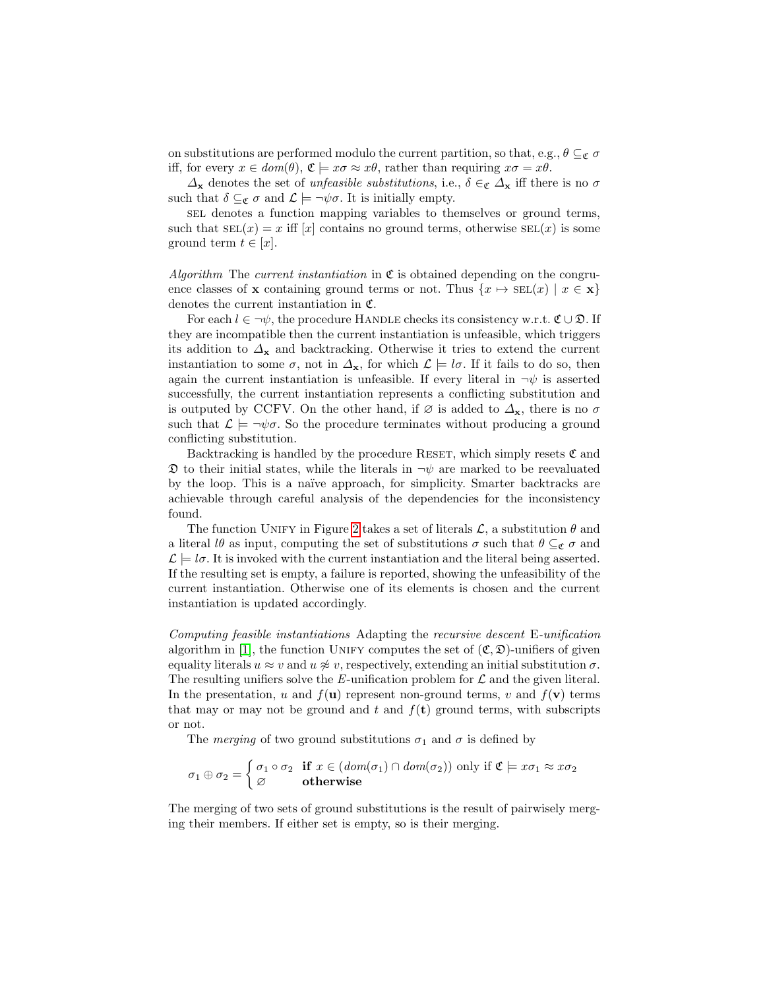on substitutions are performed modulo the current partition, so that, e.g.,  $\theta \subseteq_{\mathfrak{C}} \sigma$ iff, for every  $x \in dom(\theta)$ ,  $\mathfrak{C} \models x\sigma \approx x\theta$ , rather than requiring  $x\sigma = x\theta$ .

 $\Delta_{\mathbf{x}}$  denotes the set of *unfeasible substitutions*, i.e.,  $\delta \in \mathcal{C}$   $\Delta_{\mathbf{x}}$  iff there is no  $\sigma$ such that  $\delta \subseteq_{\mathfrak{C}} \sigma$  and  $\mathcal{L} \models \neg \psi \sigma$ . It is initially empty.

sel denotes a function mapping variables to themselves or ground terms, such that  $\text{SEL}(x) = x$  iff  $[x]$  contains no ground terms, otherwise  $\text{SEL}(x)$  is some ground term  $t \in [x]$ .

Algorithm The current instantiation in  $\mathfrak C$  is obtained depending on the congruence classes of x containing ground terms or not. Thus  $\{x \mapsto \text{SEL}(x) \mid x \in \mathbf{x}\}\$ denotes the current instantiation in C.

For each  $l \in \neg \psi$ , the procedure HANDLE checks its consistency w.r.t.  $\mathfrak{C} \cup \mathfrak{D}$ . If they are incompatible then the current instantiation is unfeasible, which triggers its addition to  $\Delta_{\mathbf{x}}$  and backtracking. Otherwise it tries to extend the current instantiation to some  $\sigma$ , not in  $\Delta_{\mathbf{x}}$ , for which  $\mathcal{L} \models l\sigma$ . If it fails to do so, then again the current instantiation is unfeasible. If every literal in  $\neg \psi$  is asserted successfully, the current instantiation represents a conflicting substitution and is outputed by CCFV. On the other hand, if  $\varnothing$  is added to  $\Delta_{\mathbf{x}}$ , there is no  $\sigma$ such that  $\mathcal{L} \models \neg \psi \sigma$ . So the procedure terminates without producing a ground conflicting substitution.

Backtracking is handled by the procedure RESET, which simply resets  $\mathfrak C$  and  $\mathfrak D$  to their initial states, while the literals in  $\neg \psi$  are marked to be reevaluated by the loop. This is a na¨ıve approach, for simplicity. Smarter backtracks are achievable through careful analysis of the dependencies for the inconsistency found.

The function UNIFY in Figure [2](#page-5-0) takes a set of literals  $\mathcal{L}$ , a substitution  $\theta$  and a literal lθ as input, computing the set of substitutions  $\sigma$  such that  $\theta \subseteq_{\mathfrak{C}} \sigma$  and  $\mathcal{L} = l\sigma$ . It is invoked with the current instantiation and the literal being asserted. If the resulting set is empty, a failure is reported, showing the unfeasibility of the current instantiation. Otherwise one of its elements is chosen and the current instantiation is updated accordingly.

Computing feasible instantiations Adapting the recursive descent E-unification algorithm in [\[1\]](#page-7-10), the function UNIFY computes the set of  $(\mathfrak{C}, \mathfrak{D})$ -unifiers of given equality literals  $u \approx v$  and  $u \not\approx v$ , respectively, extending an initial substitution  $\sigma$ . The resulting unifiers solve the  $E$ -unification problem for  $\mathcal L$  and the given literal. In the presentation, u and  $f(\mathbf{u})$  represent non-ground terms, v and  $f(\mathbf{v})$  terms that may or may not be ground and t and  $f(\mathbf{t})$  ground terms, with subscripts or not.

The *merging* of two ground substitutions  $\sigma_1$  and  $\sigma$  is defined by

$$
\sigma_1 \oplus \sigma_2 = \begin{cases} \sigma_1 \circ \sigma_2 & \text{if } x \in (dom(\sigma_1) \cap dom(\sigma_2)) \text{ only if } \mathfrak{C} \models x\sigma_1 \approx x\sigma_2 \\ \varnothing & \text{otherwise} \end{cases}
$$

The merging of two sets of ground substitutions is the result of pairwisely merging their members. If either set is empty, so is their merging.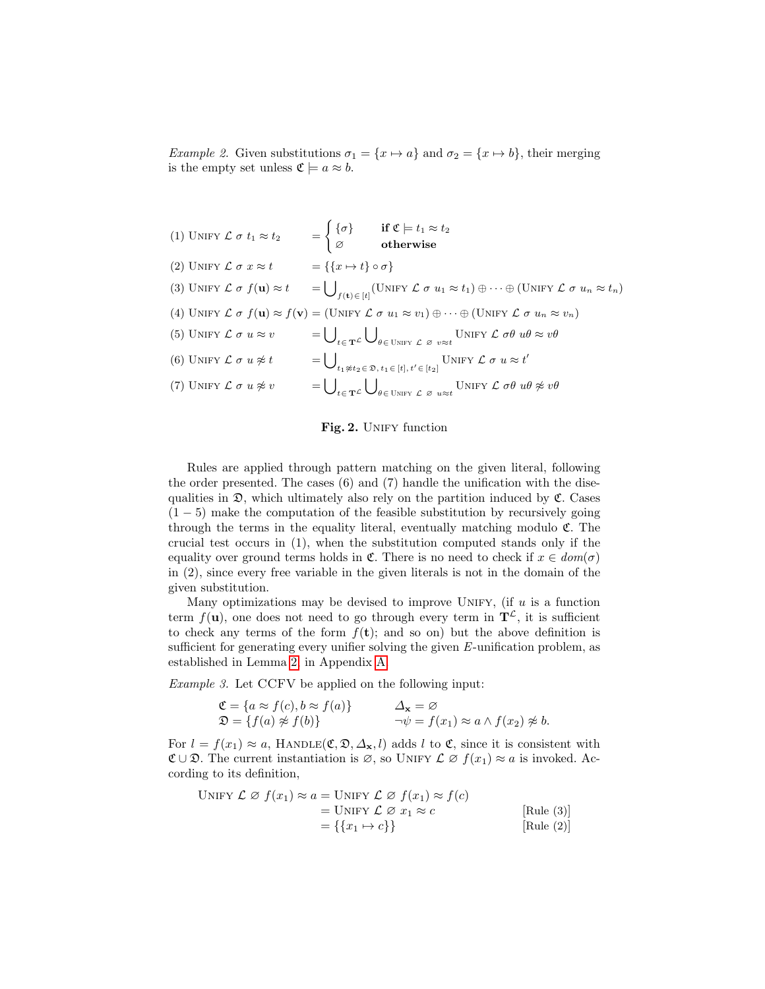*Example 2.* Given substitutions  $\sigma_1 = \{x \mapsto a\}$  and  $\sigma_2 = \{x \mapsto b\}$ , their merging is the empty set unless  $\mathfrak{C} \models a \approx b$ .

| (1) UNIFY $\mathcal{L} \sigma t_1 \approx t_2$                                    | $\mathcal{L} = \begin{cases} \{\sigma\} & \quad \text{if } \mathfrak{C} \models t_1 \approx t_2 \ \varnothing & \quad \text{otherwise} \end{cases}$                                                                      |
|-----------------------------------------------------------------------------------|--------------------------------------------------------------------------------------------------------------------------------------------------------------------------------------------------------------------------|
| (2) UNIFY $\mathcal{L} \sigma x \approx t = \{ \{ x \mapsto t \} \circ \sigma \}$ |                                                                                                                                                                                                                          |
|                                                                                   | (3) UNIFY $\mathcal{L} \sigma f(\mathbf{u}) \approx t = \bigcup_{f(\mathbf{t}) \in [t]} (\text{UNIFY } \mathcal{L} \sigma u_1 \approx t_1) \oplus \cdots \oplus (\text{UNIFY } \mathcal{L} \sigma u_n \approx t_n)$      |
|                                                                                   | (4) UNIFY $\mathcal L \sigma f(\mathbf u) \approx f(\mathbf v) = (\text{UNIFY }\mathcal L \sigma u_1 \approx v_1) \oplus \cdots \oplus (\text{UNIFY }\mathcal L \sigma u_n \approx v_n)$                                 |
| (5) UNIFY $\mathcal{L} \sigma u \approx v$                                        | $=\bigcup_{t\in T} \bigcup_{\theta\in\text{UNIFY}} \bigcup_{\theta\in\text{UNIFY}} \bigcup_{x\in\theta} \text{UNIFY } \mathcal{L} \text{ of } u\theta \approx v\theta$                                                   |
| (6) UNIFY $\mathcal L \sigma u \not\approx t$                                     | $= \bigcup_{t_1 \not\approx t_2 \in \mathfrak{D}, t_1 \in [t], t' \in [t_2]} \text{UNIFY } \mathcal{L} \sigma u \approx t'$                                                                                              |
| (7) UNIFY $\mathcal L \sigma u \not\approx v$                                     | $= \bigcup\nolimits_{t \in \mathbf{T}^{\mathcal{L}}} \bigcup\nolimits_{\theta \in \text{UNIFY} \mathcal{L}} \bigcup_{\varnothing \text{ u} \approx t} \text{UNIFY } \mathcal{L} \text{ of } u\theta \not\approx v\theta$ |

#### <span id="page-5-0"></span>Fig. 2. UNIFY function

Rules are applied through pattern matching on the given literal, following the order presented. The cases (6) and (7) handle the unification with the disequalities in  $\mathfrak{D}$ , which ultimately also rely on the partition induced by  $\mathfrak{C}$ . Cases  $(1-5)$  make the computation of the feasible substitution by recursively going through the terms in the equality literal, eventually matching modulo  $\mathfrak{C}$ . The crucial test occurs in (1), when the substitution computed stands only if the equality over ground terms holds in  $\mathfrak{C}$ . There is no need to check if  $x \in dom(\sigma)$ in (2), since every free variable in the given literals is not in the domain of the given substitution.

Many optimizations may be devised to improve UNIFY, (if  $u$  is a function term  $f(\mathbf{u})$ , one does not need to go through every term in  $\mathbf{T}^{\mathcal{L}}$ , it is sufficient to check any terms of the form  $f(t)$ ; and so on) but the above definition is sufficient for generating every unifier solving the given  $E$ -unification problem, as established in Lemma [2,](#page-8-0) in Appendix [A.](#page-7-8)

Example 3. Let CCFV be applied on the following input:

$$
\mathfrak{C} = \{ a \approx f(c), b \approx f(a) \} \qquad \Delta_{\mathbf{x}} = \varnothing \mathfrak{D} = \{ f(a) \not\approx f(b) \} \qquad \neg \psi = f(x_1) \approx a \land f(x_2) \not\approx b.
$$

For  $l = f(x_1) \approx a$ , HANDLE( $\mathfrak{C}, \mathfrak{D}, \Delta_{\mathbf{x}}, l$ ) adds l to  $\mathfrak{C}$ , since it is consistent with  $\mathfrak{C} \cup \mathfrak{D}$ . The current instantiation is  $\varnothing$ , so UNIFY  $\mathcal{L} \varnothing f(x_1) \approx a$  is invoked. According to its definition,

UNITY 
$$
\mathcal{L} \otimes f(x_1) \approx a = \text{UNIFY } \mathcal{L} \otimes f(x_1) \approx f(c)
$$

\n
$$
= \text{UNIFY } \mathcal{L} \otimes x_1 \approx c
$$

\n[Rule (3)]

\n
$$
= \{ \{x_1 \mapsto c\} \}
$$

\n[Rule (2)]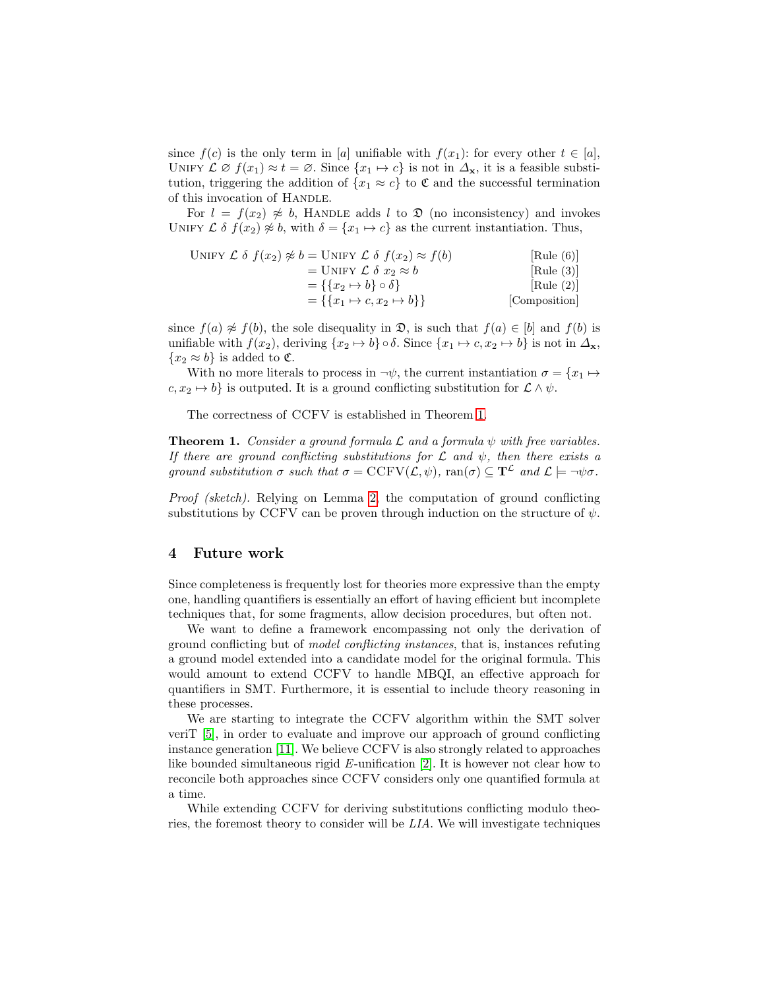since  $f(c)$  is the only term in [a] unifiable with  $f(x_1)$ : for every other  $t \in [a]$ , UNIFY  $\mathcal{L} \varnothing f(x_1) \approx t = \varnothing$ . Since  $\{x_1 \mapsto c\}$  is not in  $\Delta_{\mathbf{x}}$ , it is a feasible substitution, triggering the addition of  $\{x_1 \approx c\}$  to  $\mathfrak C$  and the successful termination of this invocation of HANDLE.

For  $l = f(x_2) \not\approx b$ , HANDLE adds l to  $\mathfrak D$  (no inconsistency) and invokes UNIFY  $\mathcal{L} \delta f(x_2) \not\approx b$ , with  $\delta = \{x_1 \mapsto c\}$  as the current instantiation. Thus,

UNIFY 
$$
\mathcal{L} \delta f(x_2) \not\approx b = \text{UNIFY } \mathcal{L} \delta f(x_2) \approx f(b)
$$

\n
$$
= \text{UNIFY } \mathcal{L} \delta x_2 \approx b
$$

\n
$$
= \{ \{x_2 \mapsto b\} \circ \delta \}
$$

\n[Rule (3)]

\n
$$
= \{ \{x_1 \mapsto c, x_2 \mapsto b\} \}
$$

\n[Rule (2)]

\n[Composition]

since  $f(a) \not\approx f(b)$ , the sole disequality in  $\mathfrak{D}$ , is such that  $f(a) \in [b]$  and  $f(b)$  is unifiable with  $f(x_2)$ , deriving  $\{x_2 \mapsto b\} \circ \delta$ . Since  $\{x_1 \mapsto c, x_2 \mapsto b\}$  is not in  $\Delta_{\mathbf{x}}$ ,  ${x_2 \approx b}$  is added to **C**.

With no more literals to process in  $\neg \psi$ , the current instantiation  $\sigma = \{x_1 \mapsto$  $c, x_2 \mapsto b$  is outputed. It is a ground conflicting substitution for  $\mathcal{L} \wedge \psi$ .

The correctness of CCFV is established in Theorem [1.](#page-6-0)

<span id="page-6-0"></span>**Theorem 1.** Consider a ground formula  $\mathcal{L}$  and a formula  $\psi$  with free variables. If there are ground conflicting substitutions for  $\mathcal L$  and  $\psi$ , then there exists a ground substitution  $\sigma$  such that  $\sigma = \text{CCFV}(\mathcal{L}, \psi)$ ,  $\text{ran}(\sigma) \subseteq \mathbf{T}^{\mathcal{L}}$  and  $\mathcal{L} \models \neg \psi \sigma$ .

Proof (sketch). Relying on Lemma [2,](#page-8-0) the computation of ground conflicting substitutions by CCFV can be proven through induction on the structure of  $\psi$ .

## 4 Future work

Since completeness is frequently lost for theories more expressive than the empty one, handling quantifiers is essentially an effort of having efficient but incomplete techniques that, for some fragments, allow decision procedures, but often not.

We want to define a framework encompassing not only the derivation of ground conflicting but of model conflicting instances, that is, instances refuting a ground model extended into a candidate model for the original formula. This would amount to extend CCFV to handle MBQI, an effective approach for quantifiers in SMT. Furthermore, it is essential to include theory reasoning in these processes.

We are starting to integrate the CCFV algorithm within the SMT solver veriT [\[5\]](#page-7-11), in order to evaluate and improve our approach of ground conflicting instance generation [\[11\]](#page-7-0). We believe CCFV is also strongly related to approaches like bounded simultaneous rigid  $E$ -unification [\[2\]](#page-7-12). It is however not clear how to reconcile both approaches since CCFV considers only one quantified formula at a time.

While extending CCFV for deriving substitutions conflicting modulo theories, the foremost theory to consider will be LIA. We will investigate techniques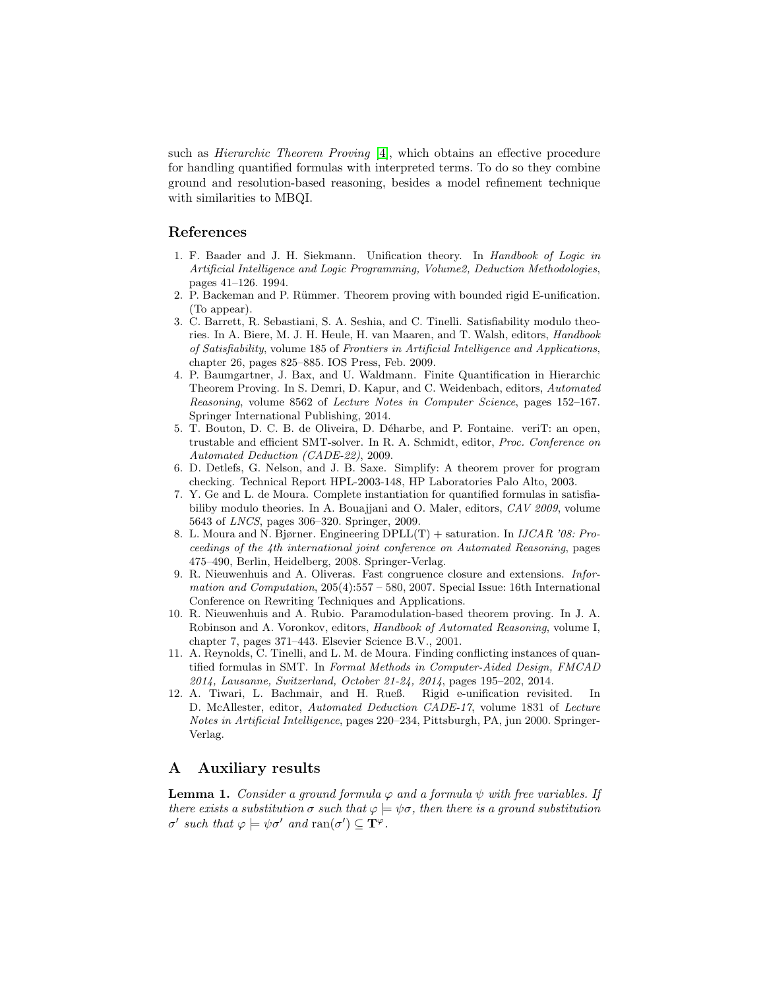such as *Hierarchic Theorem Proving*  $|4|$ , which obtains an effective procedure for handling quantified formulas with interpreted terms. To do so they combine ground and resolution-based reasoning, besides a model refinement technique with similarities to MBQI.

## References

- <span id="page-7-10"></span>1. F. Baader and J. H. Siekmann. Unification theory. In Handbook of Logic in Artificial Intelligence and Logic Programming, Volume2, Deduction Methodologies, pages 41–126. 1994.
- <span id="page-7-12"></span>2. P. Backeman and P. Rümmer. Theorem proving with bounded rigid E-unification. (To appear).
- <span id="page-7-1"></span>3. C. Barrett, R. Sebastiani, S. A. Seshia, and C. Tinelli. Satisfiability modulo theories. In A. Biere, M. J. H. Heule, H. van Maaren, and T. Walsh, editors, Handbook of Satisfiability, volume 185 of Frontiers in Artificial Intelligence and Applications, chapter 26, pages 825–885. IOS Press, Feb. 2009.
- <span id="page-7-13"></span>4. P. Baumgartner, J. Bax, and U. Waldmann. Finite Quantification in Hierarchic Theorem Proving. In S. Demri, D. Kapur, and C. Weidenbach, editors, Automated Reasoning, volume 8562 of Lecture Notes in Computer Science, pages 152–167. Springer International Publishing, 2014.
- <span id="page-7-11"></span>5. T. Bouton, D. C. B. de Oliveira, D. D´eharbe, and P. Fontaine. veriT: an open, trustable and efficient SMT-solver. In R. A. Schmidt, editor, Proc. Conference on Automated Deduction (CADE-22), 2009.
- <span id="page-7-4"></span>6. D. Detlefs, G. Nelson, and J. B. Saxe. Simplify: A theorem prover for program checking. Technical Report HPL-2003-148, HP Laboratories Palo Alto, 2003.
- <span id="page-7-5"></span>7. Y. Ge and L. de Moura. Complete instantiation for quantified formulas in satisfiabiliby modulo theories. In A. Bouajjani and O. Maler, editors, CAV 2009, volume 5643 of LNCS, pages 306–320. Springer, 2009.
- <span id="page-7-3"></span>8. L. Moura and N. Bjørner. Engineering  $DPLL(T)$  + saturation. In *IJCAR '08: Pro*ceedings of the 4th international joint conference on Automated Reasoning, pages 475–490, Berlin, Heidelberg, 2008. Springer-Verlag.
- <span id="page-7-9"></span>9. R. Nieuwenhuis and A. Oliveras. Fast congruence closure and extensions. Information and Computation, 205(4):557 – 580, 2007. Special Issue: 16th International Conference on Rewriting Techniques and Applications.
- <span id="page-7-2"></span>10. R. Nieuwenhuis and A. Rubio. Paramodulation-based theorem proving. In J. A. Robinson and A. Voronkov, editors, Handbook of Automated Reasoning, volume I, chapter 7, pages 371–443. Elsevier Science B.V., 2001.
- <span id="page-7-0"></span>11. A. Reynolds, C. Tinelli, and L. M. de Moura. Finding conflicting instances of quantified formulas in SMT. In Formal Methods in Computer-Aided Design, FMCAD 2014, Lausanne, Switzerland, October 21-24, 2014, pages 195–202, 2014.
- <span id="page-7-6"></span>12. A. Tiwari, L. Bachmair, and H. Rueß. Rigid e-unification revisited. In D. McAllester, editor, Automated Deduction CADE-17, volume 1831 of Lecture Notes in Artificial Intelligence, pages 220–234, Pittsburgh, PA, jun 2000. Springer-Verlag.

## <span id="page-7-8"></span>A Auxiliary results

<span id="page-7-7"></span>**Lemma 1.** Consider a ground formula  $\varphi$  and a formula  $\psi$  with free variables. If there exists a substitution  $\sigma$  such that  $\varphi \models \psi \sigma$ , then there is a ground substitution  $\sigma'$  such that  $\varphi \models \psi \sigma'$  and  $\text{ran}(\sigma') \subseteq \mathbf{T}^{\varphi}$ .